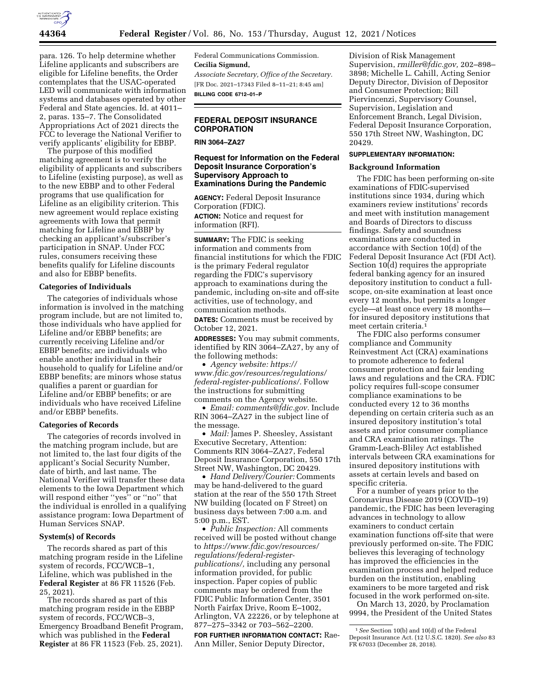

para. 126. To help determine whether Lifeline applicants and subscribers are eligible for Lifeline benefits, the Order contemplates that the USAC-operated LED will communicate with information systems and databases operated by other Federal and State agencies. Id. at 4011– 2, paras. 135–7. The Consolidated Appropriations Act of 2021 directs the FCC to leverage the National Verifier to verify applicants' eligibility for EBBP.

The purpose of this modified matching agreement is to verify the eligibility of applicants and subscribers to Lifeline (existing purpose), as well as to the new EBBP and to other Federal programs that use qualification for Lifeline as an eligibility criterion. This new agreement would replace existing agreements with Iowa that permit matching for Lifeline and EBBP by checking an applicant's/subscriber's participation in SNAP. Under FCC rules, consumers receiving these benefits qualify for Lifeline discounts and also for EBBP benefits.

# **Categories of Individuals**

The categories of individuals whose information is involved in the matching program include, but are not limited to, those individuals who have applied for Lifeline and/or EBBP benefits; are currently receiving Lifeline and/or EBBP benefits; are individuals who enable another individual in their household to qualify for Lifeline and/or EBBP benefits; are minors whose status qualifies a parent or guardian for Lifeline and/or EBBP benefits; or are individuals who have received Lifeline and/or EBBP benefits.

#### **Categories of Records**

The categories of records involved in the matching program include, but are not limited to, the last four digits of the applicant's Social Security Number, date of birth, and last name. The National Verifier will transfer these data elements to the Iowa Department which will respond either "yes" or "no" that the individual is enrolled in a qualifying assistance program: Iowa Department of Human Services SNAP.

#### **System(s) of Records**

The records shared as part of this matching program reside in the Lifeline system of records, FCC/WCB–1, Lifeline, which was published in the **Federal Register** at 86 FR 11526 (Feb. 25, 2021).

The records shared as part of this matching program reside in the EBBP system of records, FCC/WCB–3, Emergency Broadband Benefit Program, which was published in the **Federal Register** at 86 FR 11523 (Feb. 25, 2021).

Federal Communications Commission. **Cecilia Sigmund,**  *Associate Secretary, Office of the Secretary.* 

[FR Doc. 2021–17343 Filed 8–11–21; 8:45 am] **BILLING CODE 6712–01–P** 

# **FEDERAL DEPOSIT INSURANCE CORPORATION**

# **RIN 3064–ZA27**

# **Request for Information on the Federal Deposit Insurance Corporation's Supervisory Approach to Examinations During the Pandemic**

**AGENCY:** Federal Deposit Insurance Corporation (FDIC).

**ACTION:** Notice and request for information (RFI).

**SUMMARY:** The FDIC is seeking information and comments from financial institutions for which the FDIC is the primary Federal regulator regarding the FDIC's supervisory approach to examinations during the pandemic, including on-site and off-site activities, use of technology, and communication methods.

**DATES:** Comments must be received by October 12, 2021.

**ADDRESSES:** You may submit comments, identified by RIN 3064–ZA27, by any of the following methods:

• *Agency website: [https://](https://www.fdic.gov/resources/regulations/federal-register-publications/) [www.fdic.gov/resources/regulations/](https://www.fdic.gov/resources/regulations/federal-register-publications/) [federal-register-publications/.](https://www.fdic.gov/resources/regulations/federal-register-publications/)* Follow the instructions for submitting comments on the Agency website.

• *Email: [comments@fdic.gov.](mailto:comments@fdic.gov)* Include RIN 3064–ZA27 in the subject line of the message.

• *Mail:* James P. Sheesley, Assistant Executive Secretary, Attention: Comments RIN 3064–ZA27, Federal Deposit Insurance Corporation, 550 17th Street NW, Washington, DC 20429.

• *Hand Delivery/Courier:* Comments may be hand-delivered to the guard station at the rear of the 550 17th Street NW building (located on F Street) on business days between 7:00 a.m. and 5:00 p.m., EST.

• *Public Inspection:* All comments received will be posted without change to *[https://www.fdic.gov/resources/](https://www.fdic.gov/resources/regulations/federal-register-publications/)  [regulations/federal-register](https://www.fdic.gov/resources/regulations/federal-register-publications/)[publications/,](https://www.fdic.gov/resources/regulations/federal-register-publications/)* including any personal information provided, for public inspection. Paper copies of public comments may be ordered from the FDIC Public Information Center, 3501 North Fairfax Drive, Room E–1002, Arlington, VA 22226, or by telephone at 877–275–3342 or 703–562–2200.

**FOR FURTHER INFORMATION CONTACT:** Rae-Ann Miller, Senior Deputy Director,

Division of Risk Management Supervision, *[rmiller@fdic.gov,](mailto:rmiller@fdic.gov)* 202–898– 3898; Michelle L. Cahill, Acting Senior Deputy Director, Division of Depositor and Consumer Protection; Bill Piervincenzi, Supervisory Counsel, Supervision, Legislation and Enforcement Branch, Legal Division, Federal Deposit Insurance Corporation, 550 17th Street NW, Washington, DC 20429.

# **SUPPLEMENTARY INFORMATION:**

# **Background Information**

The FDIC has been performing on-site examinations of FDIC-supervised institutions since 1934, during which examiners review institutions' records and meet with institution management and Boards of Directors to discuss findings. Safety and soundness examinations are conducted in accordance with Section 10(d) of the Federal Deposit Insurance Act (FDI Act). Section 10(d) requires the appropriate federal banking agency for an insured depository institution to conduct a fullscope, on-site examination at least once every 12 months, but permits a longer cycle—at least once every 18 months for insured depository institutions that meet certain criteria.<sup>1</sup>

The FDIC also performs consumer compliance and Community Reinvestment Act (CRA) examinations to promote adherence to federal consumer protection and fair lending laws and regulations and the CRA. FDIC policy requires full-scope consumer compliance examinations to be conducted every 12 to 36 months depending on certain criteria such as an insured depository institution's total assets and prior consumer compliance and CRA examination ratings. The Gramm-Leach-Bliley Act established intervals between CRA examinations for insured depository institutions with assets at certain levels and based on specific criteria.

For a number of years prior to the Coronavirus Disease 2019 (COVID–19) pandemic, the FDIC has been leveraging advances in technology to allow examiners to conduct certain examination functions off-site that were previously performed on-site. The FDIC believes this leveraging of technology has improved the efficiencies in the examination process and helped reduce burden on the institution, enabling examiners to be more targeted and risk focused in the work performed on-site.

On March 13, 2020, by Proclamation 9994, the President of the United States

<sup>1</sup>*See* Section 10(b) and 10(d) of the Federal Deposit Insurance Act. (12 U.S.C. 1820). *See also* 83 FR 67033 (December 28, 2018).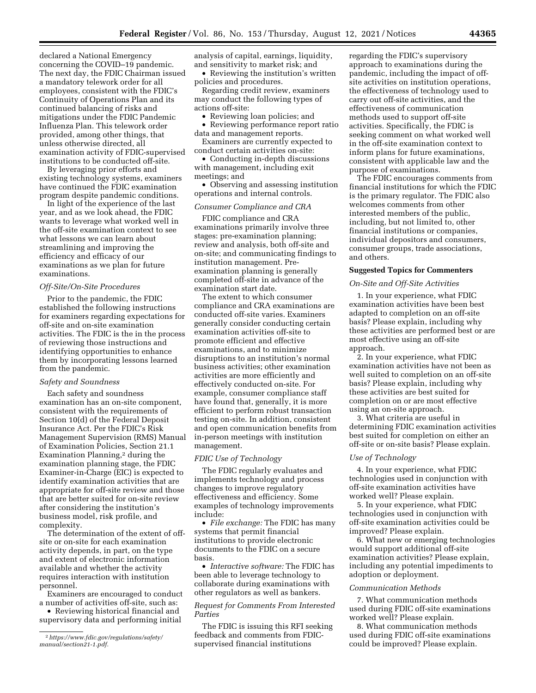declared a National Emergency concerning the COVID–19 pandemic. The next day, the FDIC Chairman issued a mandatory telework order for all employees, consistent with the FDIC's Continuity of Operations Plan and its continued balancing of risks and mitigations under the FDIC Pandemic Influenza Plan. This telework order provided, among other things, that unless otherwise directed, all examination activity of FDIC-supervised institutions to be conducted off-site.

By leveraging prior efforts and existing technology systems, examiners have continued the FDIC examination program despite pandemic conditions.

In light of the experience of the last year, and as we look ahead, the FDIC wants to leverage what worked well in the off-site examination context to see what lessons we can learn about streamlining and improving the efficiency and efficacy of our examinations as we plan for future examinations.

#### *Off-Site/On-Site Procedures*

Prior to the pandemic, the FDIC established the following instructions for examiners regarding expectations for off-site and on-site examination activities. The FDIC is the in the process of reviewing those instructions and identifying opportunities to enhance them by incorporating lessons learned from the pandemic.

### *Safety and Soundness*

Each safety and soundness examination has an on-site component, consistent with the requirements of Section 10(d) of the Federal Deposit Insurance Act. Per the FDIC's Risk Management Supervision (RMS) Manual of Examination Policies, Section 21.1 Examination Planning,<sup>2</sup> during the examination planning stage, the FDIC Examiner-in-Charge (EIC) is expected to identify examination activities that are appropriate for off-site review and those that are better suited for on-site review after considering the institution's business model, risk profile, and complexity.

The determination of the extent of offsite or on-site for each examination activity depends, in part, on the type and extent of electronic information available and whether the activity requires interaction with institution personnel.

Examiners are encouraged to conduct a number of activities off-site, such as:

• Reviewing historical financial and supervisory data and performing initial analysis of capital, earnings, liquidity, and sensitivity to market risk; and

• Reviewing the institution's written policies and procedures.

Regarding credit review, examiners may conduct the following types of actions off-site:

• Reviewing loan policies; and

• Reviewing performance report ratio data and management reports.

Examiners are currently expected to conduct certain activities on-site:

• Conducting in-depth discussions with management, including exit meetings; and

• Observing and assessing institution operations and internal controls.

#### *Consumer Compliance and CRA*

FDIC compliance and CRA examinations primarily involve three stages: pre-examination planning; review and analysis, both off-site and on-site; and communicating findings to institution management. Preexamination planning is generally completed off-site in advance of the examination start date.

The extent to which consumer compliance and CRA examinations are conducted off-site varies. Examiners generally consider conducting certain examination activities off-site to promote efficient and effective examinations, and to minimize disruptions to an institution's normal business activities; other examination activities are more efficiently and effectively conducted on-site. For example, consumer compliance staff have found that, generally, it is more efficient to perform robust transaction testing on-site. In addition, consistent and open communication benefits from in-person meetings with institution management.

#### *FDIC Use of Technology*

The FDIC regularly evaluates and implements technology and process changes to improve regulatory effectiveness and efficiency. Some examples of technology improvements include:

• *File exchange:* The FDIC has many systems that permit financial institutions to provide electronic documents to the FDIC on a secure basis.

• *Interactive software:* The FDIC has been able to leverage technology to collaborate during examinations with other regulators as well as bankers.

*Request for Comments From Interested Parties* 

The FDIC is issuing this RFI seeking feedback and comments from FDICsupervised financial institutions

regarding the FDIC's supervisory approach to examinations during the pandemic, including the impact of offsite activities on institution operations, the effectiveness of technology used to carry out off-site activities, and the effectiveness of communication methods used to support off-site activities. Specifically, the FDIC is seeking comment on what worked well in the off-site examination context to inform plans for future examinations, consistent with applicable law and the purpose of examinations.

The FDIC encourages comments from financial institutions for which the FDIC is the primary regulator. The FDIC also welcomes comments from other interested members of the public, including, but not limited to, other financial institutions or companies, individual depositors and consumers, consumer groups, trade associations, and others.

# **Suggested Topics for Commenters**

#### *On-Site and Off-Site Activities*

1. In your experience, what FDIC examination activities have been best adapted to completion on an off-site basis? Please explain, including why these activities are performed best or are most effective using an off-site approach.

2. In your experience, what FDIC examination activities have not been as well suited to completion on an off-site basis? Please explain, including why these activities are best suited for completion on or are most effective using an on-site approach.

3. What criteria are useful in determining FDIC examination activities best suited for completion on either an off-site or on-site basis? Please explain.

#### *Use of Technology*

4. In your experience, what FDIC technologies used in conjunction with off-site examination activities have worked well? Please explain.

5. In your experience, what FDIC technologies used in conjunction with off-site examination activities could be improved? Please explain.

6. What new or emerging technologies would support additional off-site examination activities? Please explain, including any potential impediments to adoption or deployment.

### *Communication Methods*

7. What communication methods used during FDIC off-site examinations worked well? Please explain.

8. What communication methods used during FDIC off-site examinations could be improved? Please explain.

<sup>2</sup>*[https://www.fdic.gov/regulations/safety/](https://www.fdic.gov/regulations/safety/manual/section21-1.pdf)  [manual/section21-1.pdf.](https://www.fdic.gov/regulations/safety/manual/section21-1.pdf)*